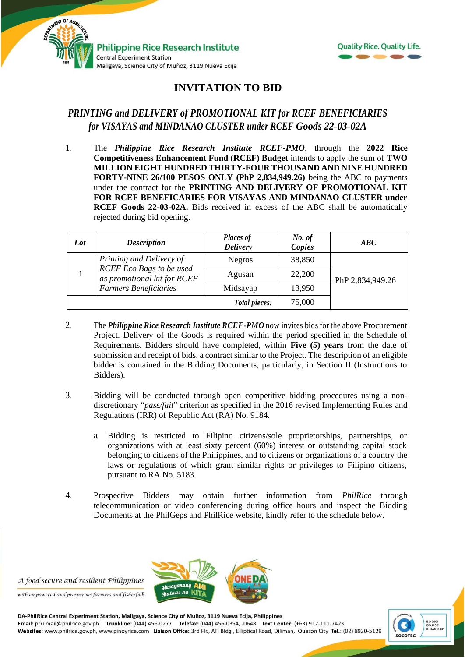



## **INVITATION TO BID**

## *PRINTING and DELIVERY of PROMOTIONAL KIT for RCEF BENEFICIARIES for VISAYAS and MINDANAO CLUSTER under RCEF Goods 22-03-02A*

1. The *Philippine Rice Research Institute RCEF-PMO*, through the **2022 Rice Competitiveness Enhancement Fund (RCEF) Budget** intends to apply the sum of **TWO MILLION EIGHT HUNDRED THIRTY-FOUR THOUSAND AND NINE HUNDRED FORTY-NINE 26/100 PESOS ONLY (PhP 2,834,949.26)** being the ABC to payments under the contract for the **PRINTING AND DELIVERY OF PROMOTIONAL KIT FOR RCEF BENEFICARIES FOR VISAYAS AND MINDANAO CLUSTER under RCEF Goods 22-03-02A.** Bids received in excess of the ABC shall be automatically rejected during bid opening.

| Lot | <b>Description</b>                                                                                                  | <b>Places of</b><br><b>Delivery</b> | No. of<br>Copies | ABC              |
|-----|---------------------------------------------------------------------------------------------------------------------|-------------------------------------|------------------|------------------|
|     | Printing and Delivery of<br>RCEF Eco Bags to be used<br>as promotional kit for RCEF<br><b>Farmers Beneficiaries</b> | <b>Negros</b>                       | 38,850           | PhP 2,834,949.26 |
|     |                                                                                                                     | Agusan                              | 22,200           |                  |
|     |                                                                                                                     | Midsayap                            | 13,950           |                  |
|     |                                                                                                                     | Total pieces:                       | 75,000           |                  |

- 2. The *Philippine Rice Research Institute RCEF-PMO* now invites bids for the above Procurement Project. Delivery of the Goods is required within the period specified in the Schedule of Requirements. Bidders should have completed, within **Five (5) years** from the date of submission and receipt of bids, a contract similar to the Project. The description of an eligible bidder is contained in the Bidding Documents, particularly, in Section II (Instructions to Bidders).
- 3. Bidding will be conducted through open competitive bidding procedures using a nondiscretionary "*pass/fail*" criterion as specified in the 2016 revised Implementing Rules and Regulations (IRR) of Republic Act (RA) No. 9184.
	- a. Bidding is restricted to Filipino citizens/sole proprietorships, partnerships, or organizations with at least sixty percent (60%) interest or outstanding capital stock belonging to citizens of the Philippines, and to citizens or organizations of a country the laws or regulations of which grant similar rights or privileges to Filipino citizens, pursuant to RA No. 5183.
- 4. Prospective Bidders may obtain further information from *PhilRice* through telecommunication or video conferencing during office hours and inspect the Bidding Documents at the PhilGeps and PhilRice website, kindly refer to the schedule below.

5

A food-secure and resilient Philippines

with empowered and prosperous farmers and fisherfolk



 $\frac{1}{2}$ tan a na

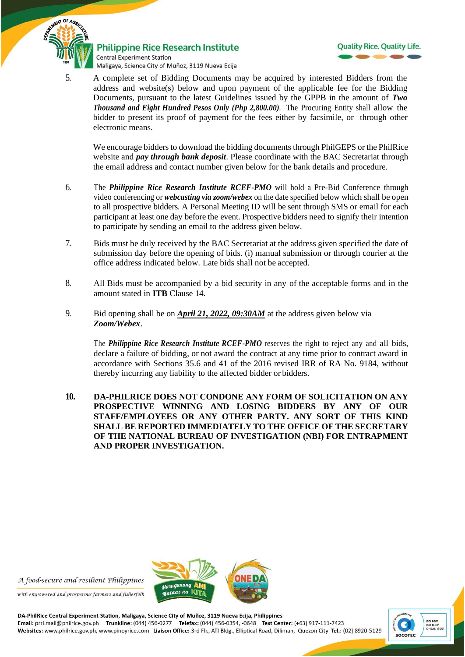

**Philippine Rice Research Institute Central Experiment Station** Maligaya, Science City of Muñoz, 3119 Nueva Ecija



5. A complete set of Bidding Documents may be acquired by interested Bidders from the address and website(s) below and upon payment of the applicable fee for the Bidding Documents, pursuant to the latest Guidelines issued by the GPPB in the amount of *Two Thousand and Eight Hundred Pesos Only (Php 2,800.00).* The Procuring Entity shall allow the bidder to present its proof of payment for the fees either by facsimile, or through other electronic means.

We encourage bidders to download the bidding documents through PhilGEPS or the PhilRice website and *pay through bank deposit*. Please coordinate with the BAC Secretariat through the email address and contact number given below for the bank details and procedure.

- 6. The *Philippine Rice Research Institute RCEF-PMO* will hold a Pre-Bid Conference through video conferencing or *webcasting via zoom/webex* on the date specified below which shall be open to all prospective bidders. A Personal Meeting ID will be sent through SMS or email for each participant at least one day before the event. Prospective bidders need to signify their intention to participate by sending an email to the address given below.
- 7. Bids must be duly received by the BAC Secretariat at the address given specified the date of submission day before the opening of bids. (i) manual submission or through courier at the office address indicated below*.* Late bids shall not be accepted.
- 8. All Bids must be accompanied by a bid security in any of the acceptable forms and in the amount stated in **ITB** Clause 14.
- 9. Bid opening shall be on *April 21, 2022, 09:30AM* at the address given below via *Zoom/Webex*.

The *Philippine Rice Research Institute RCEF-PMO* reserves the right to reject any and all bids, declare a failure of bidding, or not award the contract at any time prior to contract award in accordance with Sections 35.6 and 41 of the 2016 revised IRR of RA No. 9184, without thereby incurring any liability to the affected bidder or bidders.

**10. DA-PHILRICE DOES NOT CONDONE ANY FORM OF SOLICITATION ON ANY PROSPECTIVE WINNING AND LOSING BIDDERS BY ANY OF OUR STAFF/EMPLOYEES OR ANY OTHER PARTY. ANY SORT OF THIS KIND SHALL BE REPORTED IMMEDIATELY TO THE OFFICE OF THE SECRETARY OF THE NATIONAL BUREAU OF INVESTIGATION (NBI) FOR ENTRAPMENT AND PROPER INVESTIGATION.**



A food-secure and resilient Philippines

with empowered and prosperous farmers and fisherfolk

DA-PhilRice Central Experiment Station, Maligaya, Science City of Muñoz, 3119 Nueva Ecija, Philippines<br>Email: prri.mail@philrice.gov.ph Trunkline: (044) 456-0277 Telefax: (044) 456-0354, -0648 Text Center: (+63) 917-111-74 Websites: www.philrice.gov.ph, www.pinoyrice.com Liaison Office: 3rd Flr., ATI Bldg., Elliptical Road, Diliman, Quezon City Tel.: (02) 8920-5129